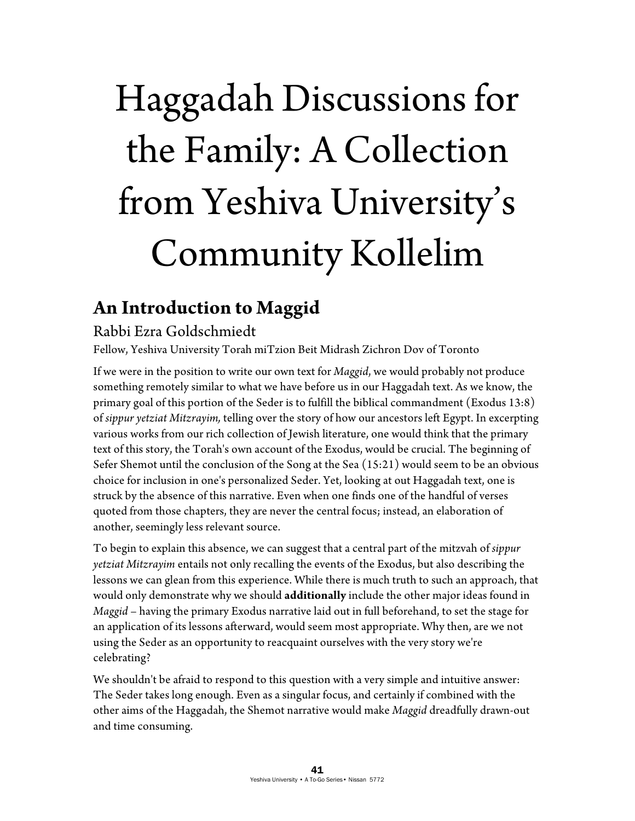# Haggadah Discussions for the Family: A Collection from Yeshiva University's Community Kollelim

# **An Introduction to Maggid**

#### Rabbi Ezra Goldschmiedt

Fellow, Yeshiva University Torah miTzion Beit Midrash Zichron Dov of Toronto

If we were in the position to write our own text for *Maggid*, we would probably not produce something remotely similar to what we have before us in our Haggadah text. As we know, the primary goal of this portion of the Seder is to fulfill the biblical commandment (Exodus 13:8) of *sippur yetziat Mitzrayim,* telling over the story of how our ancestors left Egypt. In excerpting various works from our rich collection of Jewish literature, one would think that the primary text of this story, the Torah's own account of the Exodus, would be crucial. The beginning of Sefer Shemot until the conclusion of the Song at the Sea (15:21) would seem to be an obvious choice for inclusion in one's personalized Seder. Yet, looking at out Haggadah text, one is struck by the absence of this narrative. Even when one finds one of the handful of verses quoted from those chapters, they are never the central focus; instead, an elaboration of another, seemingly less relevant source.

To begin to explain this absence, we can suggest that a central part of the mitzvah of *sippur yetziat Mitzrayim* entails not only recalling the events of the Exodus, but also describing the lessons we can glean from this experience. While there is much truth to such an approach, that would only demonstrate why we should **additionally** include the other major ideas found in *Maggid* – having the primary Exodus narrative laid out in full beforehand, to set the stage for an application of its lessons afterward, would seem most appropriate. Why then, are we not using the Seder as an opportunity to reacquaint ourselves with the very story we're celebrating?

We shouldn't be afraid to respond to this question with a very simple and intuitive answer: The Seder takes long enough. Even as a singular focus, and certainly if combined with the other aims of the Haggadah, the Shemot narrative would make *Maggid* dreadfully drawn-out and time consuming.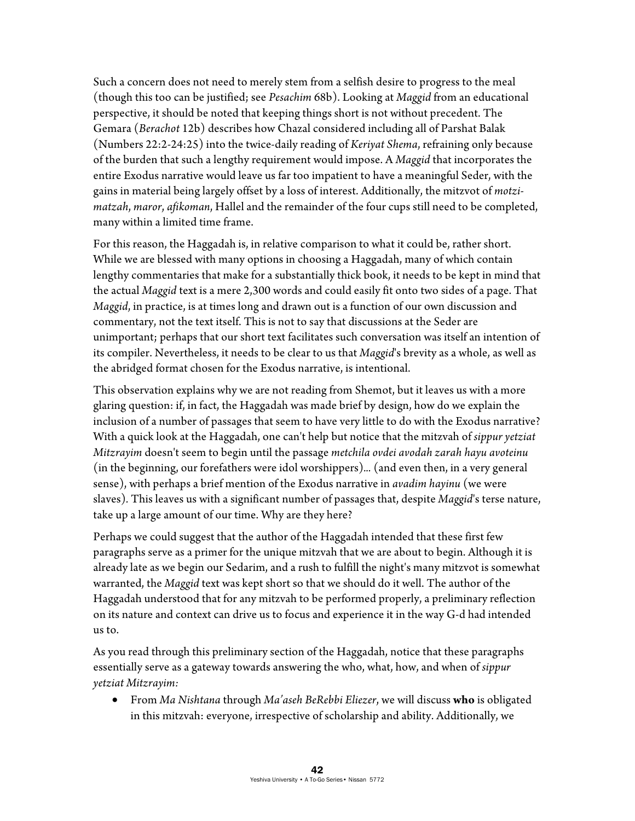Such a concern does not need to merely stem from a selfish desire to progress to the meal (though this too can be justified; see *Pesachim* 68b). Looking at *Maggid* from an educational perspective, it should be noted that keeping things short is not without precedent. The Gemara (*Berachot* 12b) describes how Chazal considered including all of Parshat Balak (Numbers 22:2-24:25) into the twice-daily reading of *Keriyat Shema*, refraining only because of the burden that such a lengthy requirement would impose. A *Maggid* that incorporates the entire Exodus narrative would leave us far too impatient to have a meaningful Seder, with the gains in material being largely offset by a loss of interest. Additionally, the mitzvot of *motzimatzah*, *maror*, *afikoman*, Hallel and the remainder of the four cups still need to be completed, many within a limited time frame.

For this reason, the Haggadah is, in relative comparison to what it could be, rather short. While we are blessed with many options in choosing a Haggadah, many of which contain lengthy commentaries that make for a substantially thick book, it needs to be kept in mind that the actual *Maggid* text is a mere 2,300 words and could easily fit onto two sides of a page. That *Maggid*, in practice, is at times long and drawn out is a function of our own discussion and commentary, not the text itself. This is not to say that discussions at the Seder are unimportant; perhaps that our short text facilitates such conversation was itself an intention of its compiler. Nevertheless, it needs to be clear to us that *Maggid*'s brevity as a whole, as well as the abridged format chosen for the Exodus narrative, is intentional.

This observation explains why we are not reading from Shemot, but it leaves us with a more glaring question: if, in fact, the Haggadah was made brief by design, how do we explain the inclusion of a number of passages that seem to have very little to do with the Exodus narrative? With a quick look at the Haggadah, one can't help but notice that the mitzvah of *sippur yetziat Mitzrayim* doesn't seem to begin until the passage *metchila ovdei avodah zarah hayu avoteinu* (in the beginning, our forefathers were idol worshippers)*...* (and even then, in a very general sense), with perhaps a brief mention of the Exodus narrative in *avadim hayinu* (we were slaves)*.* This leaves us with a significant number of passages that, despite *Maggid*'s terse nature, take up a large amount of our time. Why are they here?

Perhaps we could suggest that the author of the Haggadah intended that these first few paragraphs serve as a primer for the unique mitzvah that we are about to begin. Although it is already late as we begin our Sedarim, and a rush to fulfill the night's many mitzvot is somewhat warranted, the *Maggid* text was kept short so that we should do it well. The author of the Haggadah understood that for any mitzvah to be performed properly, a preliminary reflection on its nature and context can drive us to focus and experience it in the way G-d had intended us to.

As you read through this preliminary section of the Haggadah, notice that these paragraphs essentially serve as a gateway towards answering the who, what, how, and when of *sippur yetziat Mitzrayim:*

 From *Ma Nishtana* through *Ma'aseh BeRebbi Eliezer*, we will discuss **who** is obligated in this mitzvah: everyone, irrespective of scholarship and ability. Additionally, we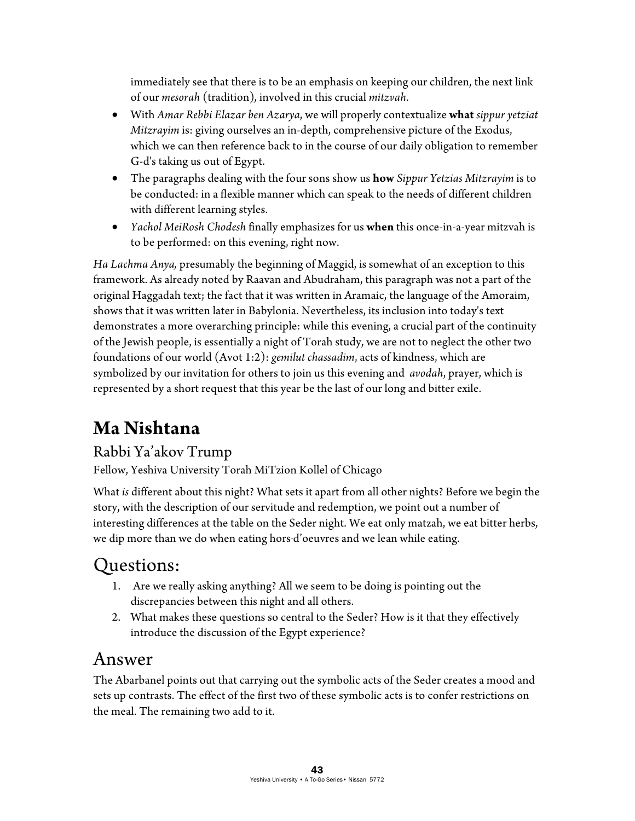immediately see that there is to be an emphasis on keeping our children, the next link of our *mesorah* (tradition)*,* involved in this crucial *mitzvah*.

- With *Amar Rebbi Elazar ben Azarya*, we will properly contextualize **what** *sippur yetziat Mitzrayim* is: giving ourselves an in-depth, comprehensive picture of the Exodus, which we can then reference back to in the course of our daily obligation to remember G-d's taking us out of Egypt.
- The paragraphs dealing with the four sons show us **how** *Sippur Yetzias Mitzrayim* is to be conducted: in a flexible manner which can speak to the needs of different children with different learning styles.
- *Yachol MeiRosh Chodesh* finally emphasizes for us **when** this once-in-a-year mitzvah is to be performed: on this evening, right now.

*Ha Lachma Anya,* presumably the beginning of Maggid, is somewhat of an exception to this framework. As already noted by Raavan and Abudraham, this paragraph was not a part of the original Haggadah text; the fact that it was written in Aramaic, the language of the Amoraim, shows that it was written later in Babylonia. Nevertheless, its inclusion into today's text demonstrates a more overarching principle: while this evening, a crucial part of the continuity of the Jewish people, is essentially a night of Torah study, we are not to neglect the other two foundations of our world (Avot 1:2): *gemilut chassadim*, acts of kindness, which are symbolized by our invitation for others to join us this evening and *avodah*, prayer, which is represented by a short request that this year be the last of our long and bitter exile.

# **Ma Nishtana**

#### Rabbi Ya'akov Trump

Fellow, Yeshiva University Torah MiTzion Kollel of Chicago

What *is* different about this night? What sets it apart from all other nights? Before we begin the story, with the description of our servitude and redemption, we point out a number of interesting differences at the table on the Seder night. We eat only matzah, we eat bitter herbs, we dip more than we do when eating hors d'oeuvres and we lean while eating.

## Questions:

- 1. Are we really asking anything? All we seem to be doing is pointing out the discrepancies between this night and all others.
- 2. What makes these questions so central to the Seder? How is it that they effectively introduce the discussion of the Egypt experience?

#### Answer

The Abarbanel points out that carrying out the symbolic acts of the Seder creates a mood and sets up contrasts. The effect of the first two of these symbolic acts is to confer restrictions on the meal. The remaining two add to it.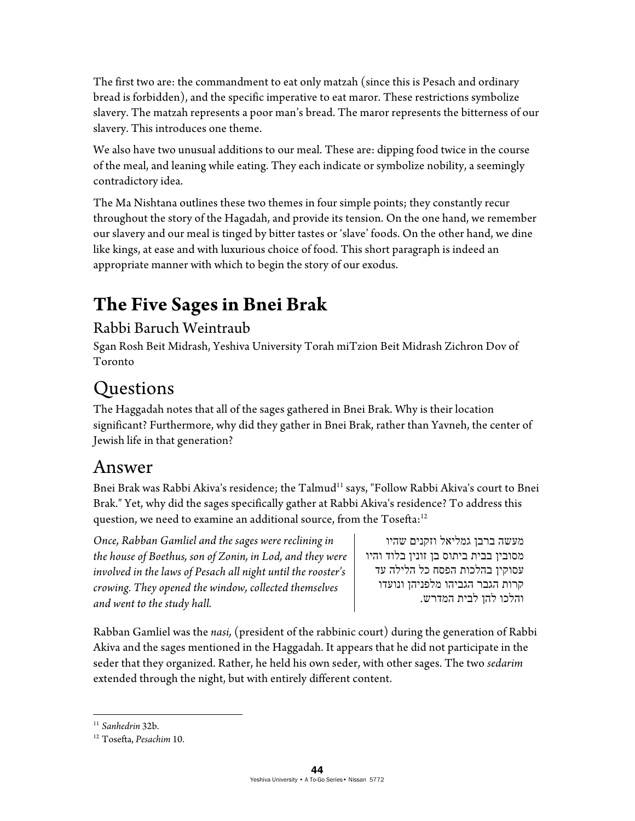The first two are: the commandment to eat only matzah (since this is Pesach and ordinary bread is forbidden), and the specific imperative to eat maror. These restrictions symbolize slavery. The matzah represents a poor man's bread. The maror represents the bitterness of our slavery. This introduces one theme.

We also have two unusual additions to our meal. These are: dipping food twice in the course of the meal, and leaning while eating. They each indicate or symbolize nobility, a seemingly contradictory idea.

The Ma Nishtana outlines these two themes in four simple points; they constantly recur throughout the story of the Hagadah, and provide its tension. On the one hand, we remember our slavery and our meal is tinged by bitter tastes or 'slave' foods. On the other hand, we dine like kings, at ease and with luxurious choice of food. This short paragraph is indeed an appropriate manner with which to begin the story of our exodus.

# **The Five Sages in Bnei Brak**

#### Rabbi Baruch Weintraub

Sgan Rosh Beit Midrash, Yeshiva University Torah miTzion Beit Midrash Zichron Dov of Toronto

## **Ouestions**

The Haggadah notes that all of the sages gathered in Bnei Brak. Why is their location significant? Furthermore, why did they gather in Bnei Brak, rather than Yavneh, the center of Jewish life in that generation?

#### Answer

Bnei Brak was Rabbi Akiva's residence; the Talmud<sup>11</sup> says, "Follow Rabbi Akiva's court to Bnei Brak." Yet, why did the sages specifically gather at Rabbi Akiva's residence? To address this question, we need to examine an additional source, from the Tosefta:<sup>12</sup>

*Once, Rabban Gamliel and the sages were reclining in the house of Boethus, son of Zonin, in Lod, and they were involved in the laws of Pesach all night until the rooster's crowing. They opened the window, collected themselves and went to the study hall.* 

מעשה ברבן גמליאל וזקנים שהיו מסובין בבית ביתוס בן זונין בלוד והיו עסוקין בהלכות הפסח כל הלילה עד קרות הגבר הגביהו מלפניהן ונועדו והלכו להן לבית המדרש.

Rabban Gamliel was the *nasi,* (president of the rabbinic court) during the generation of Rabbi Akiva and the sages mentioned in the Haggadah. It appears that he did not participate in the seder that they organized. Rather, he held his own seder, with other sages. The two *sedarim* extended through the night, but with entirely different content.

 $11$  Sanhedrin 32b.

<sup>&</sup>lt;sup>12</sup> Tosefta, Pesachim 10.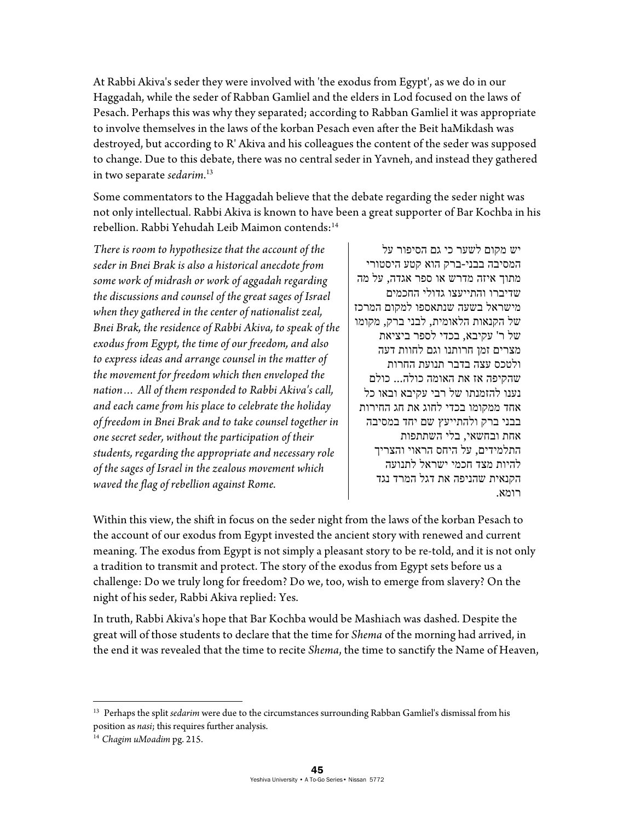At Rabbi Akiva's seder they were involved with 'the exodus from Egypt', as we do in our Haggadah, while the seder of Rabban Gamliel and the elders in Lod focused on the laws of Pesach. Perhaps this was why they separated; according to Rabban Gamliel it was appropriate to involve themselves in the laws of the korban Pesach even after the Beit haMikdash was destroyed, but according to R' Akiva and his colleagues the content of the seder was supposed to change. Due to this debate, there was no central seder in Yavneh, and instead they gathered in two separate *sedarim*. 13

Some commentators to the Haggadah believe that the debate regarding the seder night was not only intellectual. Rabbi Akiva is known to have been a great supporter of Bar Kochba in his rebellion. Rabbi Yehudah Leib Maimon contends:<sup>14</sup>

*There is room to hypothesize that the account of the seder in Bnei Brak is also a historical anecdote from some work of midrash or work of aggadah regarding the discussions and counsel of the great sages of Israel when they gathered in the center of nationalist zeal, Bnei Brak, the residence of Rabbi Akiva, to speak of the exodus from Egypt, the time of our freedom, and also to express ideas and arrange counsel in the matter of the movement for freedom which then enveloped the nation… All of them responded to Rabbi Akiva's call, and each came from his place to celebrate the holiday of freedom in Bnei Brak and to take counsel together in one secret seder, without the participation of their students, regarding the appropriate and necessary role of the sages of Israel in the zealous movement which waved the flag of rebellion against Rome.* 

יש מקום לשער כי גם הסיפור על המסיבה בבני- ברק הוא קטע היסטורי מתוך איזה מדרש או ספר אגדה, על מה שדיברו והתייעצו גדולי החכמים מישראל בשעה שנתאספו למקום המרכז של הקנאות הלאומית, לבני ברק, מקומו של ר' עקיבא, בכדי לספר ביציאת מצרים זמן חרותנו וגם לחוות דעה ולטכס עצה בדבר תנועת החרות שהקיפה אז את האומה כולה... כולם נענו להזמנתו של רבי עקיבא ובאו כל אחד ממקומו בכדי לחוג את חג החירות בבני ברק ולהתייעץ שם יחד במסיבה אחת ובחשאי, בלי השתתפות התלמידים, על היחס הראוי והצריך להיות מצד חכמי ישראל לתנועה הקנאית שהניפה את דגל המרד נגד רומא.

Within this view, the shift in focus on the seder night from the laws of the korban Pesach to the account of our exodus from Egypt invested the ancient story with renewed and current meaning. The exodus from Egypt is not simply a pleasant story to be re-told, and it is not only a tradition to transmit and protect. The story of the exodus from Egypt sets before us a challenge: Do we truly long for freedom? Do we, too, wish to emerge from slavery? On the night of his seder, Rabbi Akiva replied: Yes.

In truth, Rabbi Akiva's hope that Bar Kochba would be Mashiach was dashed. Despite the great will of those students to declare that the time for *Shema* of the morning had arrived, in the end it was revealed that the time to recite *Shema*, the time to sanctify the Name of Heaven,

<u>.</u>

<sup>&</sup>lt;sup>13</sup> Perhaps the split *sedarim* were due to the circumstances surrounding Rabban Gamliel's dismissal from his position as *nasi*; this requires further analysis. 14 *Chagim uMoadim* pg. 215.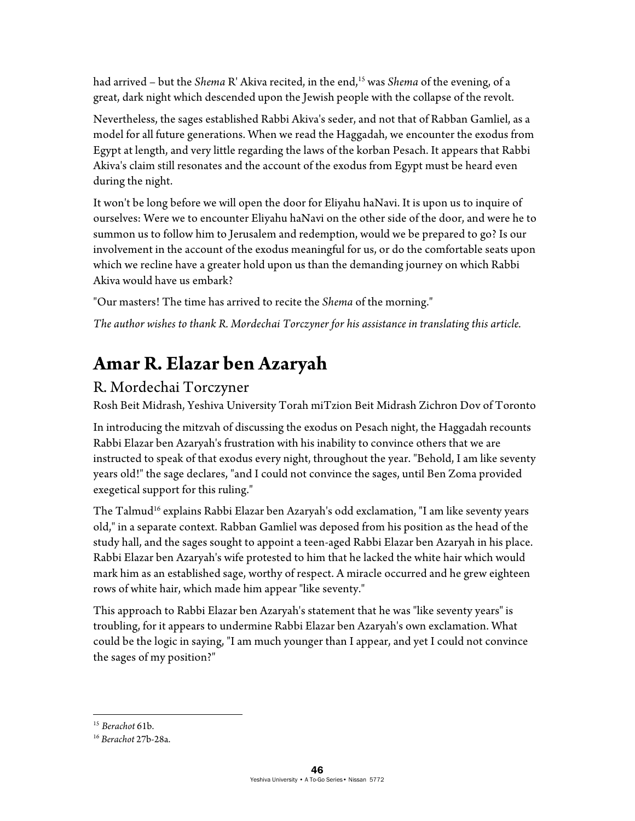had arrived – but the *Shema* R' Akiva recited, in the end,<sup>15</sup> was *Shema* of the evening, of a great, dark night which descended upon the Jewish people with the collapse of the revolt.

Nevertheless, the sages established Rabbi Akiva's seder, and not that of Rabban Gamliel, as a model for all future generations. When we read the Haggadah, we encounter the exodus from Egypt at length, and very little regarding the laws of the korban Pesach. It appears that Rabbi Akiva's claim still resonates and the account of the exodus from Egypt must be heard even during the night.

It won't be long before we will open the door for Eliyahu haNavi. It is upon us to inquire of ourselves: Were we to encounter Eliyahu haNavi on the other side of the door, and were he to summon us to follow him to Jerusalem and redemption, would we be prepared to go? Is our involvement in the account of the exodus meaningful for us, or do the comfortable seats upon which we recline have a greater hold upon us than the demanding journey on which Rabbi Akiva would have us embark?

"Our masters! The time has arrived to recite the *Shema* of the morning."

*The author wishes to thank R. Mordechai Torczyner for his assistance in translating this article.* 

# **Amar R. Elazar ben Azaryah**

#### R. Mordechai Torczyner

Rosh Beit Midrash, Yeshiva University Torah miTzion Beit Midrash Zichron Dov of Toronto

In introducing the mitzvah of discussing the exodus on Pesach night, the Haggadah recounts Rabbi Elazar ben Azaryah's frustration with his inability to convince others that we are instructed to speak of that exodus every night, throughout the year. "Behold, I am like seventy years old!" the sage declares, "and I could not convince the sages, until Ben Zoma provided exegetical support for this ruling."

The Talmud<sup>16</sup> explains Rabbi Elazar ben Azaryah's odd exclamation, "I am like seventy years old," in a separate context. Rabban Gamliel was deposed from his position as the head of the study hall, and the sages sought to appoint a teen-aged Rabbi Elazar ben Azaryah in his place. Rabbi Elazar ben Azaryah's wife protested to him that he lacked the white hair which would mark him as an established sage, worthy of respect. A miracle occurred and he grew eighteen rows of white hair, which made him appear "like seventy."

This approach to Rabbi Elazar ben Azaryah's statement that he was "like seventy years" is troubling, for it appears to undermine Rabbi Elazar ben Azaryah's own exclamation. What could be the logic in saying, "I am much younger than I appear, and yet I could not convince the sages of my position?"

 $15$  Berachot 61b.

<sup>15</sup> *Berachot* 61b. 16 *Berachot* 27b-28a.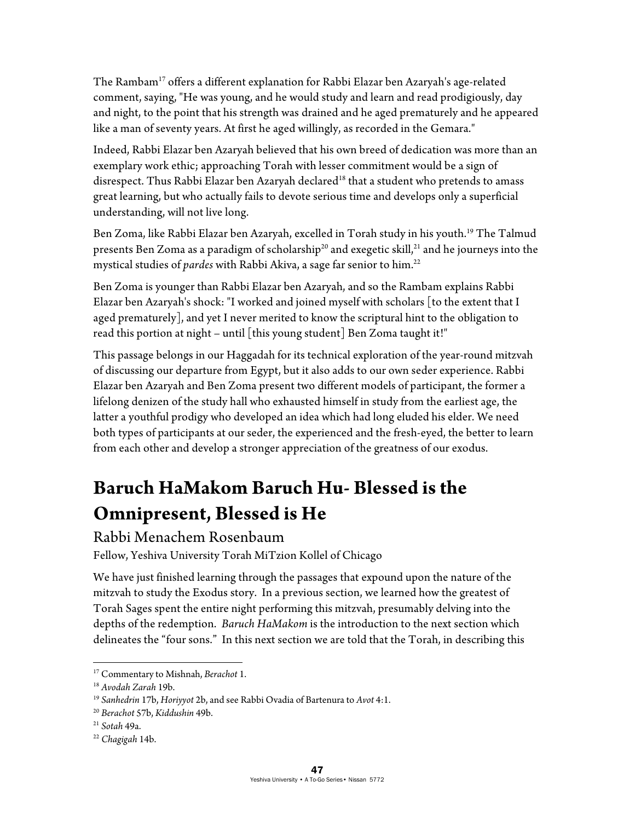The Rambam<sup>17</sup> offers a different explanation for Rabbi Elazar ben Azaryah's age-related comment, saying, "He was young, and he would study and learn and read prodigiously, day and night, to the point that his strength was drained and he aged prematurely and he appeared like a man of seventy years. At first he aged willingly, as recorded in the Gemara."

Indeed, Rabbi Elazar ben Azaryah believed that his own breed of dedication was more than an exemplary work ethic; approaching Torah with lesser commitment would be a sign of disrespect. Thus Rabbi Elazar ben Azaryah declared<sup>18</sup> that a student who pretends to amass great learning, but who actually fails to devote serious time and develops only a superficial understanding, will not live long.

Ben Zoma, like Rabbi Elazar ben Azaryah, excelled in Torah study in his youth.<sup>19</sup> The Talmud presents Ben Zoma as a paradigm of scholarship<sup>20</sup> and exegetic skill,<sup>21</sup> and he journeys into the mystical studies of *pardes* with Rabbi Akiva, a sage far senior to him.<sup>22</sup>

Ben Zoma is younger than Rabbi Elazar ben Azaryah, and so the Rambam explains Rabbi Elazar ben Azaryah's shock: "I worked and joined myself with scholars [to the extent that I aged prematurely], and yet I never merited to know the scriptural hint to the obligation to read this portion at night – until [this young student] Ben Zoma taught it!"

This passage belongs in our Haggadah for its technical exploration of the year-round mitzvah of discussing our departure from Egypt, but it also adds to our own seder experience. Rabbi Elazar ben Azaryah and Ben Zoma present two different models of participant, the former a lifelong denizen of the study hall who exhausted himself in study from the earliest age, the latter a youthful prodigy who developed an idea which had long eluded his elder. We need both types of participants at our seder, the experienced and the fresh-eyed, the better to learn from each other and develop a stronger appreciation of the greatness of our exodus.

# **Baruch HaMakom Baruch Hu- Blessed is the Omnipresent, Blessed is He**

Rabbi Menachem Rosenbaum

Fellow, Yeshiva University Torah MiTzion Kollel of Chicago

We have just finished learning through the passages that expound upon the nature of the mitzvah to study the Exodus story. In a previous section, we learned how the greatest of Torah Sages spent the entire night performing this mitzvah, presumably delving into the depths of the redemption. *Baruch HaMakom* is the introduction to the next section which delineates the "four sons." In this next section we are told that the Torah, in describing this

 $\overline{a}$ 

<sup>&</sup>lt;sup>17</sup> Commentary to Mishnah, *Berachot* 1.<br><sup>18</sup> Avodah Zarah 19b.<br><sup>19</sup> Sanhedrin 17b, Horiyyot 2b, and see Rabbi Ovadia of Bartenura to Avot 4:1.<br><sup>20</sup> Berachot 57b, Kiddushin 49b.<br><sup>21</sup> Sotah 49a.<br><sup>22</sup> Chagigah 14b.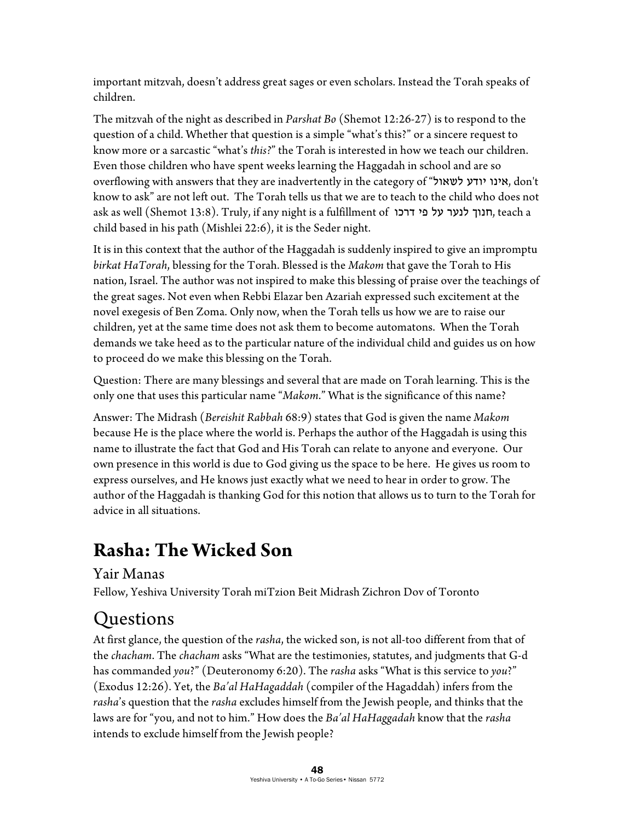important mitzvah, doesn't address great sages or even scholars. Instead the Torah speaks of children.

The mitzvah of the night as described in *Parshat Bo* (Shemot 12:26-27) is to respond to the question of a child. Whether that question is a simple "what's this?" or a sincere request to know more or a sarcastic "what's *this?*" the Torah is interested in how we teach our children. Even those children who have spent weeks learning the Haggadah in school and are so overflowing with answers that they are inadvertently in the category of "לשאול יודע אינו, don't know to ask" are not left out. The Torah tells us that we are to teach to the child who does not ask as well (Shemot 13:8). Truly, if any night is a fulfillment of דרכו פי על לנער חנוך, teach a child based in his path (Mishlei 22:6), it is the Seder night.

It is in this context that the author of the Haggadah is suddenly inspired to give an impromptu *birkat HaTorah*, blessing for the Torah. Blessed is the *Makom* that gave the Torah to His nation, Israel. The author was not inspired to make this blessing of praise over the teachings of the great sages. Not even when Rebbi Elazar ben Azariah expressed such excitement at the novel exegesis of Ben Zoma. Only now, when the Torah tells us how we are to raise our children, yet at the same time does not ask them to become automatons. When the Torah demands we take heed as to the particular nature of the individual child and guides us on how to proceed do we make this blessing on the Torah.

Question: There are many blessings and several that are made on Torah learning. This is the only one that uses this particular name "*Makom*." What is the significance of this name?

Answer: The Midrash (*Bereishit Rabbah* 68:9) states that God is given the name *Makom* because He is the place where the world is. Perhaps the author of the Haggadah is using this name to illustrate the fact that God and His Torah can relate to anyone and everyone. Our own presence in this world is due to God giving us the space to be here. He gives us room to express ourselves, and He knows just exactly what we need to hear in order to grow. The author of the Haggadah is thanking God for this notion that allows us to turn to the Torah for advice in all situations.

# **Rasha: The Wicked Son**

#### Yair Manas

Fellow, Yeshiva University Torah miTzion Beit Midrash Zichron Dov of Toronto

## Questions

At first glance, the question of the *rasha*, the wicked son, is not all-too different from that of the *chacham*. The *chacham* asks "What are the testimonies, statutes, and judgments that G-d has commanded *you*?" (Deuteronomy 6:20). The *rasha* asks "What is this service to *you*?" (Exodus 12:26). Yet, the *Ba'al HaHagaddah* (compiler of the Hagaddah) infers from the *rasha*'s question that the *rasha* excludes himself from the Jewish people, and thinks that the laws are for "you, and not to him." How does the *Ba'al HaHaggadah* know that the *rasha* intends to exclude himself from the Jewish people?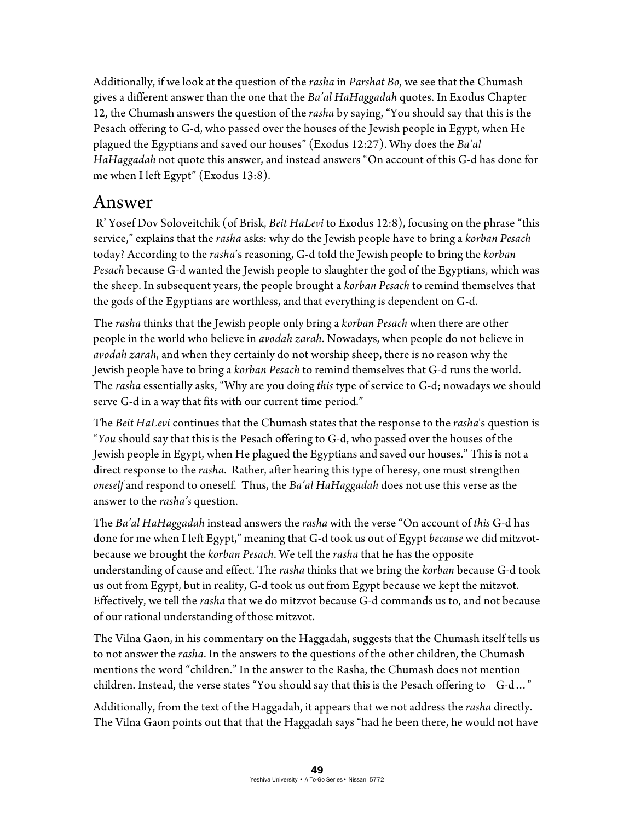Additionally, if we look at the question of the *rasha* in *Parshat Bo*, we see that the Chumash gives a different answer than the one that the *Ba'al HaHaggadah* quotes. In Exodus Chapter 12, the Chumash answers the question of the *rasha* by saying, "You should say that this is the Pesach offering to G-d, who passed over the houses of the Jewish people in Egypt, when He plagued the Egyptians and saved our houses" (Exodus 12:27). Why does the *Ba'al HaHaggadah* not quote this answer, and instead answers "On account of this G-d has done for me when I left Egypt" (Exodus 13:8).

#### Answer

 R' Yosef Dov Soloveitchik (of Brisk, *Beit HaLevi* to Exodus 12:8), focusing on the phrase "this service," explains that the *rasha* asks: why do the Jewish people have to bring a *korban Pesach* today? According to the *rasha*'s reasoning, G-d told the Jewish people to bring the *korban Pesach* because G-d wanted the Jewish people to slaughter the god of the Egyptians, which was the sheep. In subsequent years, the people brought a *korban Pesach* to remind themselves that the gods of the Egyptians are worthless, and that everything is dependent on G-d.

The *rasha* thinks that the Jewish people only bring a *korban Pesach* when there are other people in the world who believe in *avodah zarah*. Nowadays, when people do not believe in *avodah zarah*, and when they certainly do not worship sheep, there is no reason why the Jewish people have to bring a *korban Pesach* to remind themselves that G-d runs the world. The *rasha* essentially asks, "Why are you doing *this* type of service to G-d; nowadays we should serve G-d in a way that fits with our current time period."

The *Beit HaLevi* continues that the Chumash states that the response to the *rasha*'s question is "*You* should say that this is the Pesach offering to G-d, who passed over the houses of the Jewish people in Egypt, when He plagued the Egyptians and saved our houses." This is not a direct response to the *rasha*. Rather, after hearing this type of heresy, one must strengthen *oneself* and respond to oneself. Thus, the *Ba'al HaHaggadah* does not use this verse as the answer to the *rasha's* question.

The *Ba'al HaHaggadah* instead answers the *rasha* with the verse "On account of *this* G-d has done for me when I left Egypt," meaning that G-d took us out of Egypt *because* we did mitzvotbecause we brought the *korban Pesach*. We tell the *rasha* that he has the opposite understanding of cause and effect. The *rasha* thinks that we bring the *korban* because G-d took us out from Egypt, but in reality, G-d took us out from Egypt because we kept the mitzvot. Effectively, we tell the *rasha* that we do mitzvot because G-d commands us to, and not because of our rational understanding of those mitzvot.

The Vilna Gaon, in his commentary on the Haggadah, suggests that the Chumash itself tells us to not answer the *rasha*. In the answers to the questions of the other children, the Chumash mentions the word "children." In the answer to the Rasha, the Chumash does not mention children. Instead, the verse states "You should say that this is the Pesach offering to G-d..."

Additionally, from the text of the Haggadah, it appears that we not address the *rasha* directly. The Vilna Gaon points out that that the Haggadah says "had he been there, he would not have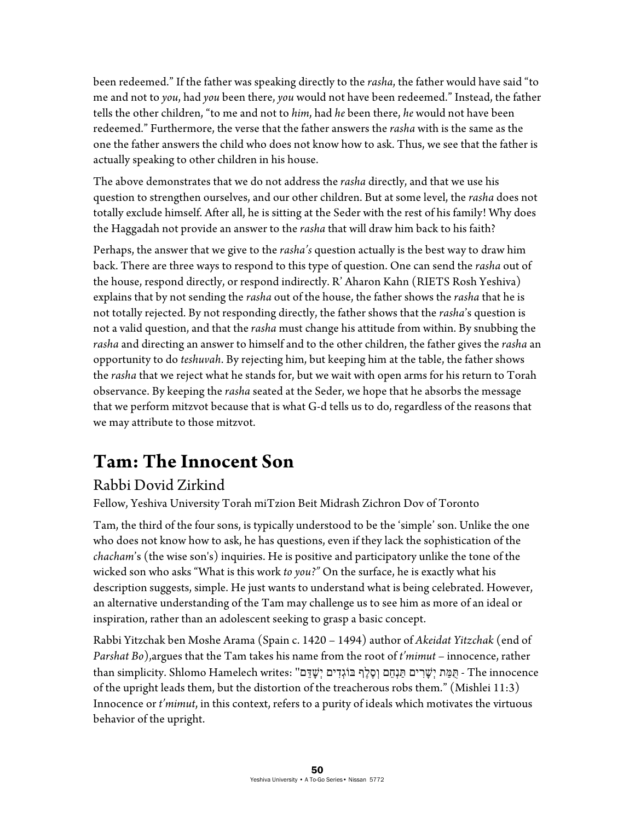been redeemed." If the father was speaking directly to the *rasha*, the father would have said "to me and not to *you*, had *you* been there, *you* would not have been redeemed." Instead, the father tells the other children, "to me and not to *him*, had *he* been there, *he* would not have been redeemed." Furthermore, the verse that the father answers the *rasha* with is the same as the one the father answers the child who does not know how to ask. Thus, we see that the father is actually speaking to other children in his house.

The above demonstrates that we do not address the *rasha* directly, and that we use his question to strengthen ourselves, and our other children. But at some level, the *rasha* does not totally exclude himself. After all, he is sitting at the Seder with the rest of his family! Why does the Haggadah not provide an answer to the *rasha* that will draw him back to his faith?

Perhaps, the answer that we give to the *rasha's* question actually is the best way to draw him back. There are three ways to respond to this type of question. One can send the *rasha* out of the house, respond directly, or respond indirectly. R' Aharon Kahn (RIETS Rosh Yeshiva) explains that by not sending the *rasha* out of the house, the father shows the *rasha* that he is not totally rejected. By not responding directly, the father shows that the *rasha*'s question is not a valid question, and that the *rasha* must change his attitude from within. By snubbing the *rasha* and directing an answer to himself and to the other children, the father gives the *rasha* an opportunity to do *teshuvah*. By rejecting him, but keeping him at the table, the father shows the *rasha* that we reject what he stands for, but we wait with open arms for his return to Torah observance. By keeping the *rasha* seated at the Seder, we hope that he absorbs the message that we perform mitzvot because that is what G-d tells us to do, regardless of the reasons that we may attribute to those mitzvot.

## **Tam: The Innocent Son**

#### Rabbi Dovid Zirkind

Fellow, Yeshiva University Torah miTzion Beit Midrash Zichron Dov of Toronto

Tam, the third of the four sons, is typically understood to be the 'simple' son. Unlike the one who does not know how to ask, he has questions, even if they lack the sophistication of the *chacham*'s (the wise son's) inquiries. He is positive and participatory unlike the tone of the wicked son who asks "What is this work *to you?"* On the surface, he is exactly what his description suggests, simple. He just wants to understand what is being celebrated. However, an alternative understanding of the Tam may challenge us to see him as more of an ideal or inspiration, rather than an adolescent seeking to grasp a basic concept.

Rabbi Yitzchak ben Moshe Arama (Spain c. 1420 – 1494) author of *Akeidat Yitzchak* (end of *Parshat Bo*),argues that the Tam takes his name from the root of *t'mimut* – innocence, rather than simplicity. Shlomo Hamelech writes: "מָמַּת יְשָׂרִים תַּנְחֵם וְסֶלֶף בּוֹגְדִים יְשָׁדַּם - The innocence of the upright leads them, but the distortion of the treacherous robs them." (Mishlei 11:3) Innocence or *t'mimut*, in this context, refers to a purity of ideals which motivates the virtuous behavior of the upright.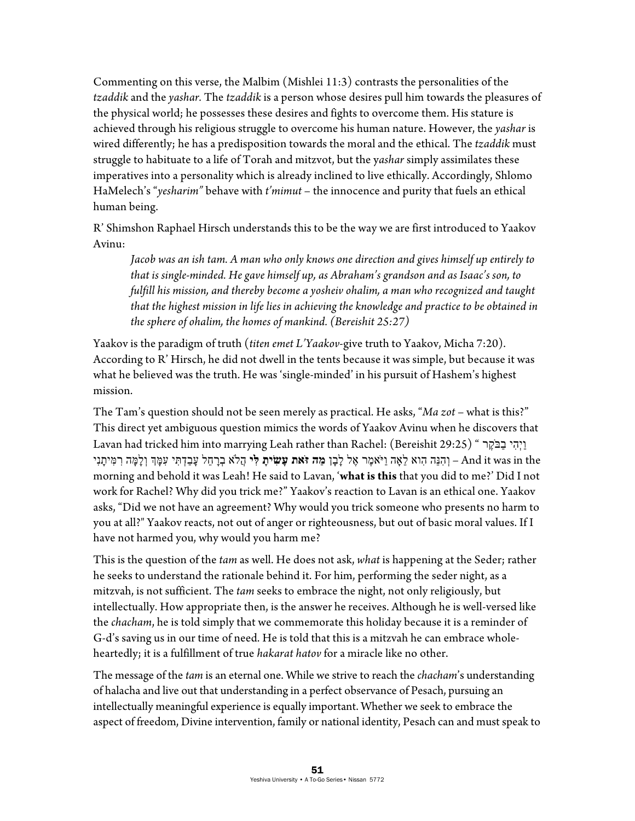Commenting on this verse, the Malbim (Mishlei 11:3) contrasts the personalities of the *tzaddik* and the *yashar.* The *tzaddik* is a person whose desires pull him towards the pleasures of the physical world; he possesses these desires and fights to overcome them. His stature is achieved through his religious struggle to overcome his human nature. However, the *yashar* is wired differently; he has a predisposition towards the moral and the ethical. The *tzaddik* must struggle to habituate to a life of Torah and mitzvot, but the y*ashar* simply assimilates these imperatives into a personality which is already inclined to live ethically. Accordingly, Shlomo HaMelech's "*yesharim"* behave with *t'mimut* – the innocence and purity that fuels an ethical human being.

R' Shimshon Raphael Hirsch understands this to be the way we are first introduced to Yaakov Avinu:

*Jacob was an ish tam. A man who only knows one direction and gives himself up entirely to that is single-minded. He gave himself up, as Abraham's grandson and as Isaac's son, to fulfill his mission, and thereby become a yosheiv ohalim, a man who recognized and taught that the highest mission in life lies in achieving the knowledge and practice to be obtained in the sphere of ohalim, the homes of mankind. (Bereishit 25:27)* 

Yaakov is the paradigm of truth (*titen emet L'Yaakov*-give truth to Yaakov, Micha 7:20). According to R' Hirsch, he did not dwell in the tents because it was simple, but because it was what he believed was the truth. He was 'single-minded' in his pursuit of Hashem's highest mission.

The Tam's question should not be seen merely as practical. He asks, "*Ma zot* – what is this?" This direct yet ambiguous question mimics the words of Yaakov Avinu when he discovers that Lavan had tricked him into marrying Leah rather than Rachel: (Bereishit 29:25) " בַּבֹּקֵר the in was it And – וְ הִ נֵּה הִוא לֵאָה וַיּ ֹאמֶ ר אֶ ל לָבָן **מַ ה זּ ֹאת עָשִׂ ָית לִּ י** הֲֹלא בְ רָ חֵל עָבַדְ תִּ י עִ מָּ ְך וְ לָמָּ ה רִ מִּיתָ נִי morning and behold it was Leah! He said to Lavan, '**what is this** that you did to me?' Did I not work for Rachel? Why did you trick me?" Yaakov's reaction to Lavan is an ethical one. Yaakov asks, "Did we not have an agreement? Why would you trick someone who presents no harm to you at all?" Yaakov reacts, not out of anger or righteousness, but out of basic moral values. If I have not harmed you, why would you harm me?

This is the question of the *tam* as well. He does not ask, *what* is happening at the Seder; rather he seeks to understand the rationale behind it. For him, performing the seder night, as a mitzvah, is not sufficient. The *tam* seeks to embrace the night, not only religiously, but intellectually. How appropriate then, is the answer he receives. Although he is well-versed like the *chacham*, he is told simply that we commemorate this holiday because it is a reminder of G-d's saving us in our time of need. He is told that this is a mitzvah he can embrace wholeheartedly; it is a fulfillment of true *hakarat hatov* for a miracle like no other.

The message of the *tam* is an eternal one. While we strive to reach the *chacham*'s understanding of halacha and live out that understanding in a perfect observance of Pesach, pursuing an intellectually meaningful experience is equally important. Whether we seek to embrace the aspect of freedom, Divine intervention, family or national identity, Pesach can and must speak to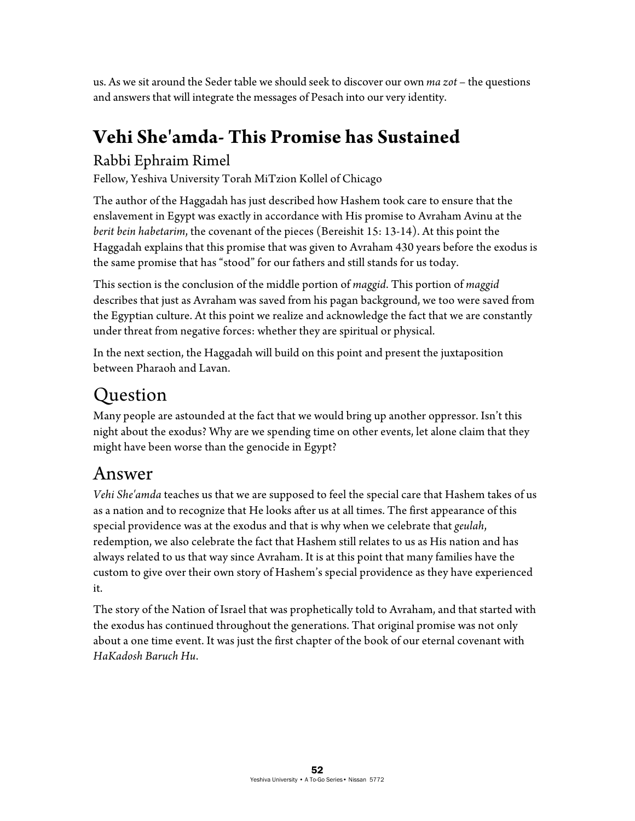us. As we sit around the Seder table we should seek to discover our own *ma zot* – the questions and answers that will integrate the messages of Pesach into our very identity.

# **Vehi She'amda- This Promise has Sustained**

#### Rabbi Ephraim Rimel

Fellow, Yeshiva University Torah MiTzion Kollel of Chicago

The author of the Haggadah has just described how Hashem took care to ensure that the enslavement in Egypt was exactly in accordance with His promise to Avraham Avinu at the *berit bein habetarim*, the covenant of the pieces (Bereishit 15: 13-14). At this point the Haggadah explains that this promise that was given to Avraham 430 years before the exodus is the same promise that has "stood" for our fathers and still stands for us today.

This section is the conclusion of the middle portion of *maggid*. This portion of *maggid* describes that just as Avraham was saved from his pagan background, we too were saved from the Egyptian culture. At this point we realize and acknowledge the fact that we are constantly under threat from negative forces: whether they are spiritual or physical.

In the next section, the Haggadah will build on this point and present the juxtaposition between Pharaoh and Lavan.

# Question

Many people are astounded at the fact that we would bring up another oppressor. Isn't this night about the exodus? Why are we spending time on other events, let alone claim that they might have been worse than the genocide in Egypt?

## Answer

*Vehi She'amda* teaches us that we are supposed to feel the special care that Hashem takes of us as a nation and to recognize that He looks after us at all times. The first appearance of this special providence was at the exodus and that is why when we celebrate that *geulah*, redemption, we also celebrate the fact that Hashem still relates to us as His nation and has always related to us that way since Avraham. It is at this point that many families have the custom to give over their own story of Hashem's special providence as they have experienced it.

The story of the Nation of Israel that was prophetically told to Avraham, and that started with the exodus has continued throughout the generations. That original promise was not only about a one time event. It was just the first chapter of the book of our eternal covenant with *HaKadosh Baruch Hu*.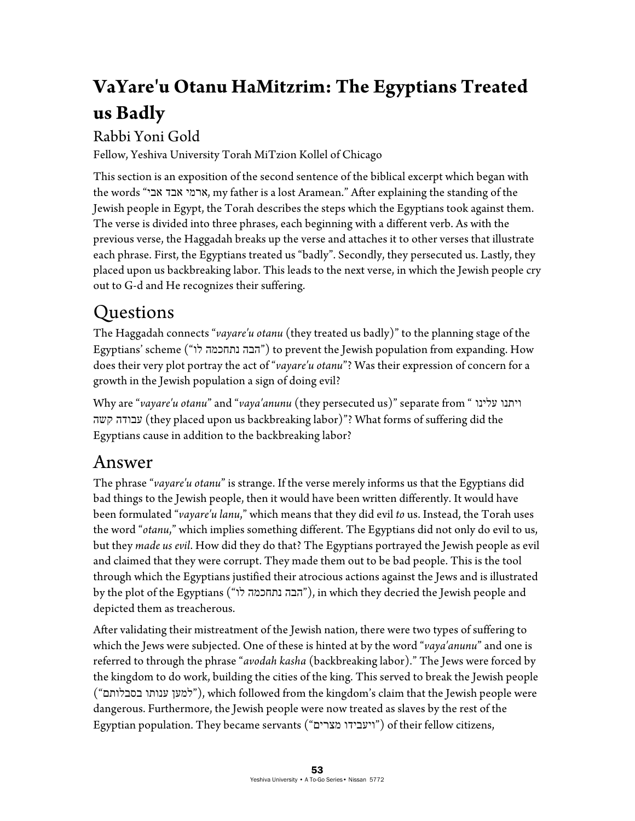# **VaYare'u Otanu HaMitzrim: The Egyptians Treated us Badly**

#### Rabbi Yoni Gold

Fellow, Yeshiva University Torah MiTzion Kollel of Chicago

This section is an exposition of the second sentence of the biblical excerpt which began with the words "אבי אבד ארמי, my father is a lost Aramean." After explaining the standing of the Jewish people in Egypt, the Torah describes the steps which the Egyptians took against them. The verse is divided into three phrases, each beginning with a different verb. As with the previous verse, the Haggadah breaks up the verse and attaches it to other verses that illustrate each phrase. First, the Egyptians treated us "badly". Secondly, they persecuted us. Lastly, they placed upon us backbreaking labor. This leads to the next verse, in which the Jewish people cry out to G-d and He recognizes their suffering.

# Questions

The Haggadah connects "*vayare'u otanu* (they treated us badly)" to the planning stage of the Egyptians' scheme ("הבה נתחכמה לו") to prevent the Jewish population from expanding. How does their very plot portray the act of "*vayare'u otanu*"? Was their expression of concern for a growth in the Jewish population a sign of doing evil?

Why are "*vayare'u otanu*" and "*vaya'anunu* (they persecuted us)" separate from " עלינו ויתנו קשה עבודה) they placed upon us backbreaking labor)"? What forms of suffering did the Egyptians cause in addition to the backbreaking labor?

#### Answer

The phrase "*vayare'u otanu*" is strange. If the verse merely informs us that the Egyptians did bad things to the Jewish people, then it would have been written differently. It would have been formulated "*vayare'u lanu*," which means that they did evil *to* us. Instead, the Torah uses the word "*otanu*," which implies something different. The Egyptians did not only do evil to us, but they *made us evil*. How did they do that? The Egyptians portrayed the Jewish people as evil and claimed that they were corrupt. They made them out to be bad people. This is the tool through which the Egyptians justified their atrocious actions against the Jews and is illustrated by the plot of the Egyptians ("הבה נתחכמה לו"), in which they decried the Jewish people and depicted them as treacherous.

After validating their mistreatment of the Jewish nation, there were two types of suffering to which the Jews were subjected. One of these is hinted at by the word "*vaya'anunu*" and one is referred to through the phrase "*avodah kasha* (backbreaking labor)." The Jews were forced by the kingdom to do work, building the cities of the king. This served to break the Jewish people ("בסבלותם ענותו למען(", which followed from the kingdom's claim that the Jewish people were dangerous. Furthermore, the Jewish people were now treated as slaves by the rest of the Egyptian population. They became servants ("מצרים ויעבידו ("of their fellow citizens,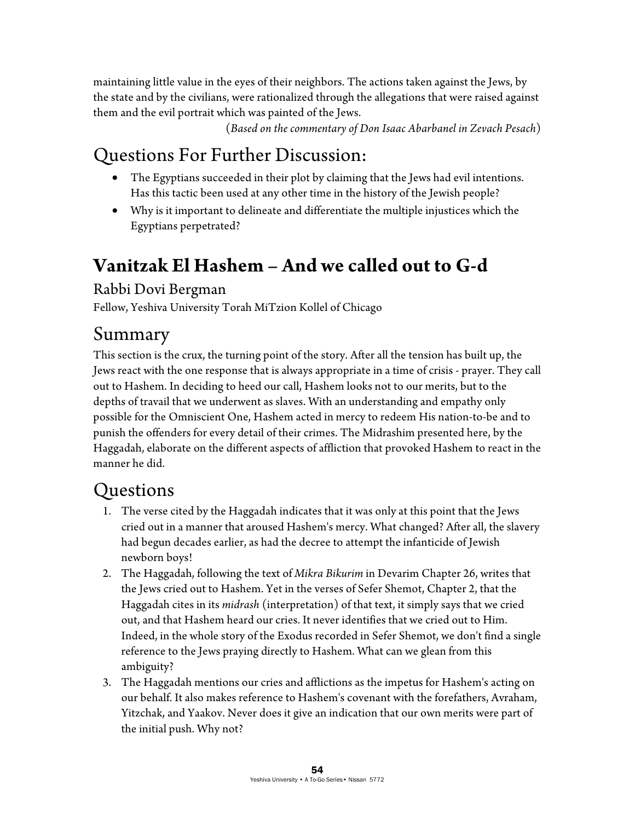maintaining little value in the eyes of their neighbors. The actions taken against the Jews, by the state and by the civilians, were rationalized through the allegations that were raised against them and the evil portrait which was painted of the Jews.

(*Based on the commentary of Don Isaac Abarbanel in Zevach Pesach*)

# Questions For Further Discussion:

- The Egyptians succeeded in their plot by claiming that the Jews had evil intentions. Has this tactic been used at any other time in the history of the Jewish people?
- Why is it important to delineate and differentiate the multiple injustices which the Egyptians perpetrated?

# **Vanitzak El Hashem – And we called out to G-d**

#### Rabbi Dovi Bergman

Fellow, Yeshiva University Torah MiTzion Kollel of Chicago

#### Summary

This section is the crux, the turning point of the story. After all the tension has built up, the Jews react with the one response that is always appropriate in a time of crisis - prayer. They call out to Hashem. In deciding to heed our call, Hashem looks not to our merits, but to the depths of travail that we underwent as slaves. With an understanding and empathy only possible for the Omniscient One, Hashem acted in mercy to redeem His nation-to-be and to punish the offenders for every detail of their crimes. The Midrashim presented here, by the Haggadah, elaborate on the different aspects of affliction that provoked Hashem to react in the manner he did.

#### **Ouestions**

- 1. The verse cited by the Haggadah indicates that it was only at this point that the Jews cried out in a manner that aroused Hashem's mercy. What changed? After all, the slavery had begun decades earlier, as had the decree to attempt the infanticide of Jewish newborn boys!
- 2. The Haggadah, following the text of *Mikra Bikurim* in Devarim Chapter 26, writes that the Jews cried out to Hashem. Yet in the verses of Sefer Shemot, Chapter 2, that the Haggadah cites in its *midrash* (interpretation) of that text, it simply says that we cried out, and that Hashem heard our cries. It never identifies that we cried out to Him. Indeed, in the whole story of the Exodus recorded in Sefer Shemot, we don't find a single reference to the Jews praying directly to Hashem. What can we glean from this ambiguity?
- 3. The Haggadah mentions our cries and afflictions as the impetus for Hashem's acting on our behalf. It also makes reference to Hashem's covenant with the forefathers, Avraham, Yitzchak, and Yaakov. Never does it give an indication that our own merits were part of the initial push. Why not?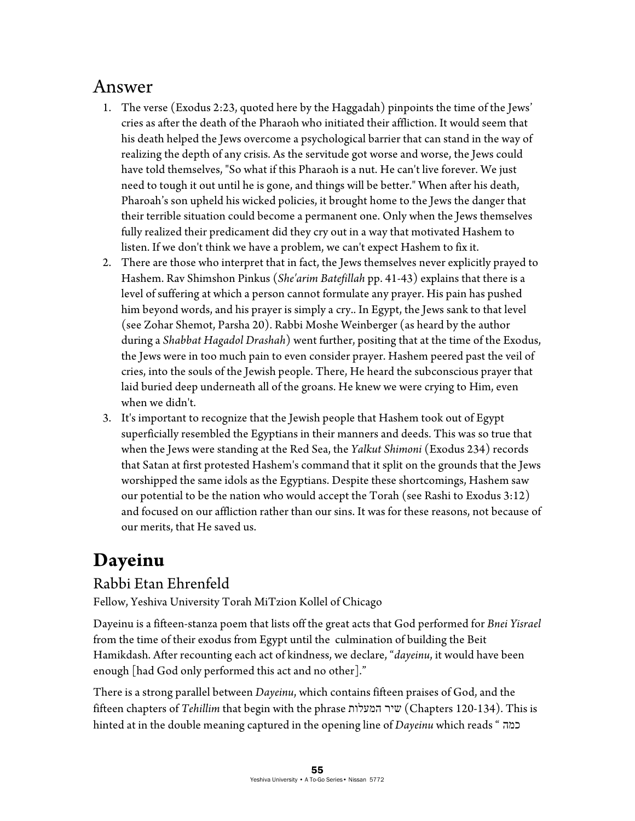#### Answer

- 1. The verse (Exodus 2:23, quoted here by the Haggadah) pinpoints the time of the Jews' cries as after the death of the Pharaoh who initiated their affliction. It would seem that his death helped the Jews overcome a psychological barrier that can stand in the way of realizing the depth of any crisis. As the servitude got worse and worse, the Jews could have told themselves, "So what if this Pharaoh is a nut. He can't live forever. We just need to tough it out until he is gone, and things will be better." When after his death, Pharoah's son upheld his wicked policies, it brought home to the Jews the danger that their terrible situation could become a permanent one. Only when the Jews themselves fully realized their predicament did they cry out in a way that motivated Hashem to listen. If we don't think we have a problem, we can't expect Hashem to fix it.
- 2. There are those who interpret that in fact, the Jews themselves never explicitly prayed to Hashem. Rav Shimshon Pinkus (*She'arim Batefillah* pp. 41-43) explains that there is a level of suffering at which a person cannot formulate any prayer. His pain has pushed him beyond words, and his prayer is simply a cry.. In Egypt, the Jews sank to that level (see Zohar Shemot, Parsha 20). Rabbi Moshe Weinberger (as heard by the author during a *Shabbat Hagadol Drashah*) went further, positing that at the time of the Exodus, the Jews were in too much pain to even consider prayer. Hashem peered past the veil of cries, into the souls of the Jewish people. There, He heard the subconscious prayer that laid buried deep underneath all of the groans. He knew we were crying to Him, even when we didn't.
- 3. It's important to recognize that the Jewish people that Hashem took out of Egypt superficially resembled the Egyptians in their manners and deeds. This was so true that when the Jews were standing at the Red Sea, the *Yalkut Shimoni* (Exodus 234) records that Satan at first protested Hashem's command that it split on the grounds that the Jews worshipped the same idols as the Egyptians. Despite these shortcomings, Hashem saw our potential to be the nation who would accept the Torah (see Rashi to Exodus 3:12) and focused on our affliction rather than our sins. It was for these reasons, not because of our merits, that He saved us.

# **Dayeinu**

#### Rabbi Etan Ehrenfeld

Fellow, Yeshiva University Torah MiTzion Kollel of Chicago

Dayeinu is a fifteen-stanza poem that lists off the great acts that God performed for *Bnei Yisrael* from the time of their exodus from Egypt until the culmination of building the Beit Hamikdash. After recounting each act of kindness, we declare, "*dayeinu*, it would have been enough [had God only performed this act and no other]."

There is a strong parallel between *Dayeinu*, which contains fifteen praises of God, and the fifteen chapters of *Tehillim* that begin with the phrase המעלות שיר) Chapters 120-134). This is hinted at in the double meaning captured in the opening line of *Dayeinu* which reads " כמה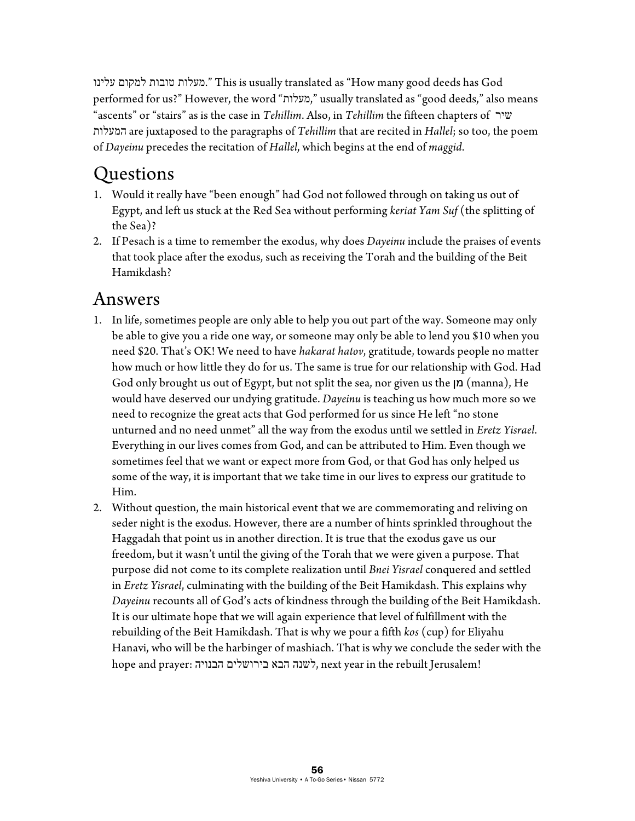עלינו למקום טובות מעלות. "This is usually translated as "How many good deeds has God performed for us?" However, the word "מעלות, "usually translated as "good deeds," also means "ascents" or "stairs" as is the case in *Tehillim*. Also, in *Tehillim* the fifteen chapters of שיר המעלות are juxtaposed to the paragraphs of *Tehillim* that are recited in *Hallel*; so too, the poem of *Dayeinu* precedes the recitation of *Hallel*, which begins at the end of *maggid*.

## Questions

- 1. Would it really have "been enough" had God not followed through on taking us out of Egypt, and left us stuck at the Red Sea without performing *keriat Yam Suf* (the splitting of the Sea)?
- 2. If Pesach is a time to remember the exodus, why does *Dayeinu* include the praises of events that took place after the exodus, such as receiving the Torah and the building of the Beit Hamikdash?

#### Answers

- 1. In life, sometimes people are only able to help you out part of the way. Someone may only be able to give you a ride one way, or someone may only be able to lend you \$10 when you need \$20. That's OK! We need to have *hakarat hatov*, gratitude, towards people no matter how much or how little they do for us. The same is true for our relationship with God. Had God only brought us out of Egypt, but not split the sea, nor given us the  $\vert n \rangle$  (manna), He would have deserved our undying gratitude. *Dayeinu* is teaching us how much more so we need to recognize the great acts that God performed for us since He left "no stone unturned and no need unmet" all the way from the exodus until we settled in *Eretz Yisrael*. Everything in our lives comes from God, and can be attributed to Him. Even though we sometimes feel that we want or expect more from God, or that God has only helped us some of the way, it is important that we take time in our lives to express our gratitude to Him.
- 2. Without question, the main historical event that we are commemorating and reliving on seder night is the exodus. However, there are a number of hints sprinkled throughout the Haggadah that point us in another direction. It is true that the exodus gave us our freedom, but it wasn't until the giving of the Torah that we were given a purpose. That purpose did not come to its complete realization until *Bnei Yisrael* conquered and settled in *Eretz Yisrael*, culminating with the building of the Beit Hamikdash. This explains why *Dayeinu* recounts all of God's acts of kindness through the building of the Beit Hamikdash. It is our ultimate hope that we will again experience that level of fulfillment with the rebuilding of the Beit Hamikdash. That is why we pour a fifth *kos* (cup) for Eliyahu Hanavi, who will be the harbinger of mashiach. That is why we conclude the seder with the hope and prayer: הבנויה בירושלים הבא לשנה, next year in the rebuilt Jerusalem!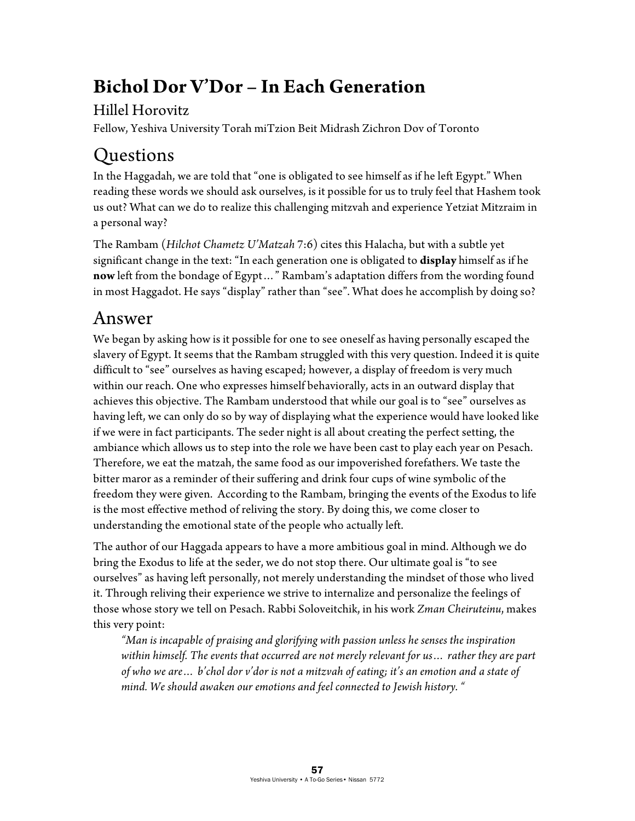# **Bichol Dor V'Dor – In Each Generation**

#### Hillel Horovitz

Fellow, Yeshiva University Torah miTzion Beit Midrash Zichron Dov of Toronto

# Questions

In the Haggadah, we are told that "one is obligated to see himself as if he left Egypt." When reading these words we should ask ourselves, is it possible for us to truly feel that Hashem took us out? What can we do to realize this challenging mitzvah and experience Yetziat Mitzraim in a personal way?

The Rambam (*Hilchot Chametz U'Matzah* 7:6) cites this Halacha, but with a subtle yet significant change in the text: "In each generation one is obligated to **display** himself as if he **now** left from the bondage of Egypt…" Rambam's adaptation differs from the wording found in most Haggadot. He says "display" rather than "see". What does he accomplish by doing so?

## Answer

We began by asking how is it possible for one to see oneself as having personally escaped the slavery of Egypt. It seems that the Rambam struggled with this very question. Indeed it is quite difficult to "see" ourselves as having escaped; however, a display of freedom is very much within our reach. One who expresses himself behaviorally, acts in an outward display that achieves this objective. The Rambam understood that while our goal is to "see" ourselves as having left, we can only do so by way of displaying what the experience would have looked like if we were in fact participants. The seder night is all about creating the perfect setting, the ambiance which allows us to step into the role we have been cast to play each year on Pesach. Therefore, we eat the matzah, the same food as our impoverished forefathers. We taste the bitter maror as a reminder of their suffering and drink four cups of wine symbolic of the freedom they were given. According to the Rambam, bringing the events of the Exodus to life is the most effective method of reliving the story. By doing this, we come closer to understanding the emotional state of the people who actually left.

The author of our Haggada appears to have a more ambitious goal in mind. Although we do bring the Exodus to life at the seder, we do not stop there. Our ultimate goal is "to see ourselves" as having left personally, not merely understanding the mindset of those who lived it. Through reliving their experience we strive to internalize and personalize the feelings of those whose story we tell on Pesach. Rabbi Soloveitchik, in his work *Zman Cheiruteinu*, makes this very point:

*"Man is incapable of praising and glorifying with passion unless he senses the inspiration within himself. The events that occurred are not merely relevant for us… rather they are part of who we are… b'chol dor v'dor is not a mitzvah of eating; it's an emotion and a state of mind. We should awaken our emotions and feel connected to Jewish history. "*